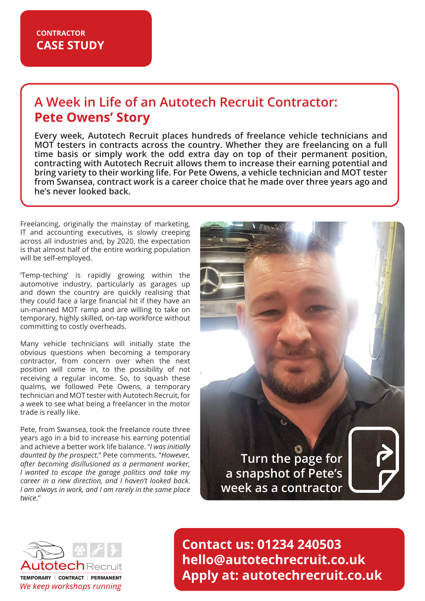# **A Week in Life of an Autotech Recruit Contractor: Pete Owens' Story**

**Every week, Autotech Recruit places hundreds of freelance vehicle technicians and MOT testers in contracts across the country. Whether they are freelancing on a full time basis or simply work the odd extra day on top of their permanent position, contracting with Autotech Recruit allows them to increase their earning potential and bring variety to their working life. For Pete Owens, a vehicle technician and MOT tester from Swansea, contract work is a career choice that he made over three years ago and he's never looked back.**

Freelancing, originally the mainstay of marketing, IT and accounting executives, is slowly creeping across all industries and, by 2020, the expectation is that almost half of the entire working population will be self-employed.

'Temp-teching' is rapidly growing within the automotive industry, particularly as garages up and down the country are quickly realising that they could face a large financial hit if they have an un-manned MOT ramp and are willing to take on temporary, highly skilled, on-tap workforce without committing to costly overheads.

Many vehicle technicians will initially state the obvious questions when becoming a temporary contractor, from concern over when the next position will come in, to the possibility of not receiving a regular income. So, to squash these qualms, we followed Pete Owens, a temporary technician and MOT tester with Autotech Recruit, for a week to see what being a freelancer in the motor trade is really like.

Pete, from Swansea, took the freelance route three years ago in a bid to increase his earning potential and achieve a better work life balance. "*I was initially daunted by the prospect*," Pete comments. "*However, after becoming disillusioned as a permanent worker, I wanted to escape the garage politics and take my career in a new direction, and I haven't looked back. I am always in work, and I am rarely in the same place twice*."

**Turn the page for a snapshot of Pete's week as a contractor**





**Contact us: 01234 240503 hello@autotechrecruit.co.uk Apply at: autotechrecruit.co.uk**